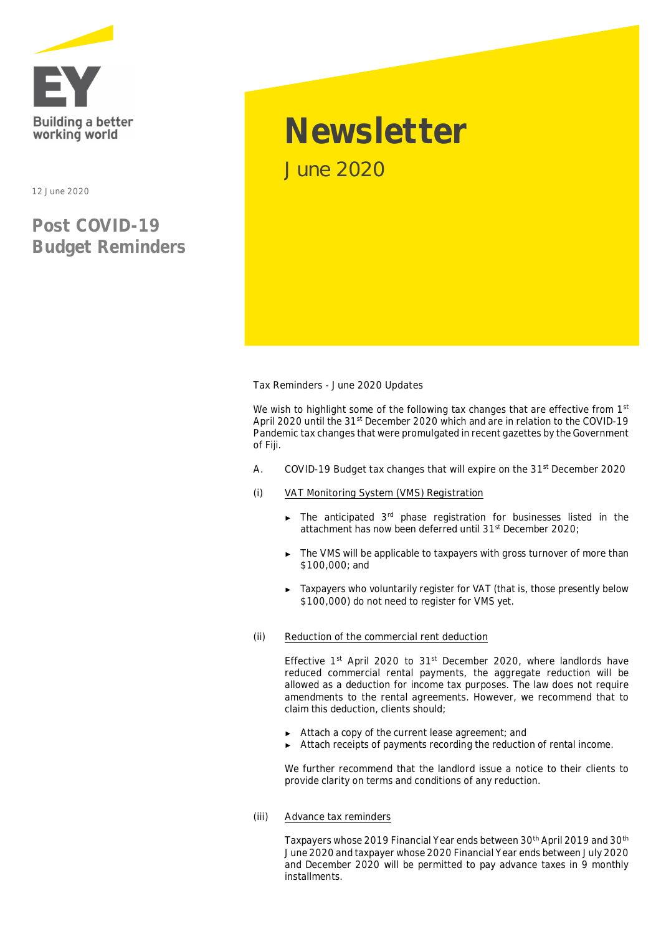

12 June 2020

# **Post COVID-19 Budget Reminders**

# **Newsletter** June 2020

**Tax Reminders - June 2020 Updates**

We wish to highlight some of the following tax changes that are effective from 1<sup>st</sup> April 2020 until the 31st December 2020 which and are in relation to the **COVID-19 Pandemic tax changes** that were promulgated in recent gazettes by the Government of Fiji.

- **A. COVID-19 Budget tax changes that will expire on the 31st December 2020**
- **(i) VAT Monitoring System (VMS) Registration**
	- ► The anticipated 3rd phase registration for businesses listed in the attachment has now been deferred until 31st December 2020;
	- ► The VMS will be applicable to taxpayers with gross turnover of more than \$100,000; and
	- ► Taxpayers who voluntarily register for VAT (that is, those presently below \$100,000) do not need to register for VMS yet.

# **(ii) Reduction of the commercial rent deduction**

Effective 1<sup>st</sup> April 2020 to 31<sup>st</sup> December 2020, where landlords have reduced commercial rental payments, the aggregate reduction will be allowed as a deduction for income tax purposes. The law does not require amendments to the rental agreements. However, we recommend that to claim this deduction, clients should;

- ► Attach a copy of the current lease agreement; and
- ► Attach receipts of payments recording the reduction of rental income.

We further recommend that the landlord issue a notice to their clients to provide clarity on terms and conditions of any reduction.

**(iii) Advance tax reminders**

Taxpayers whose 2019 Financial Year ends between 30<sup>th</sup> April 2019 and 30<sup>th</sup> June 2020 and taxpayer whose 2020 Financial Year ends between July 2020 and December 2020 will be permitted to pay advance taxes in 9 monthly installments.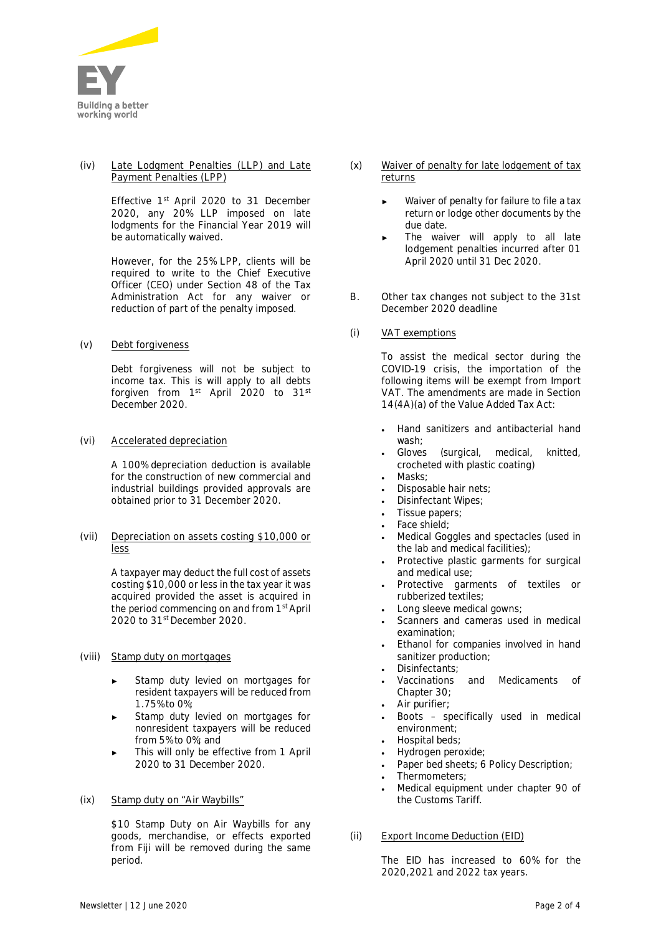

#### **(iv) Late Lodgment Penalties (LLP) and Late Payment Penalties (LPP)**

Effective 1st April 2020 to 31 December 2020, any 20% LLP imposed on late lodgments for the Financial Year 2019 will be automatically waived.

However, for the 25% LPP, clients will be required to write to the Chief Executive Officer (CEO) under Section 48 of the Tax Administration Act for any waiver or reduction of part of the penalty imposed.

**(v) Debt forgiveness**

Debt forgiveness will not be subject to income tax. This is will apply to all debts forgiven from 1<sup>st</sup> April 2020 to 31<sup>st</sup> December 2020.

**(vi) Accelerated depreciation**

A 100% depreciation deduction is available for the construction of new commercial and industrial buildings provided approvals are obtained prior to 31 December 2020.

**(vii) Depreciation on assets costing \$10,000 or less**

> A taxpayer may deduct the full cost of assets costing \$10,000 or less in the tax year it was acquired provided the asset is acquired in the period commencing on and from 1<sup>st</sup> April 2020 to 31st December 2020.

# **(viii) Stamp duty on mortgages**

- Stamp duty levied on mortgages for resident taxpayers will be reduced from 1.75% to 0%;
- Stamp duty levied on mortgages for nonresident taxpayers will be reduced from 5% to 0%; and
- This will only be effective from 1 April 2020 to 31 December 2020.

# **(ix) Stamp duty on "Air Waybills"**

\$10 Stamp Duty on Air Waybills for any goods, merchandise, or effects exported from Fiji will be removed during the same period.

- **(x) Waiver of penalty for late lodgement of tax returns**
	- Waiver of penalty for failure to file a tax return or lodge other documents by the due date.
	- The waiver will apply to all late lodgement penalties incurred after 01 April 2020 until 31 Dec 2020.
- **B. Other tax changes not subject to the 31st December 2020 deadline**
- **(i) VAT exemptions**

To assist the medical sector during the COVID-19 crisis, the importation of the following items will be exempt from Import VAT. The amendments are made in Section 14(4A)(a) of the Value Added Tax Act:

- · Hand sanitizers and antibacterial hand wash;
- · Gloves (surgical, medical, knitted, crocheted with plastic coating)
- · Masks;
- · Disposable hair nets;
- · Disinfectant Wipes;
- · Tissue papers;
- · Face shield;
- · Medical Goggles and spectacles (used in the lab and medical facilities);
- · Protective plastic garments for surgical and medical use;
- Protective garments of textiles or rubberized textiles;
- Long sleeve medical gowns;
- · Scanners and cameras used in medical examination;
- Ethanol for companies involved in hand sanitizer production;
- · Disinfectants;
- · Vaccinations and Medicaments of Chapter 30;
- Air purifier;
- · Boots specifically used in medical environment;
- · Hospital beds;
- · Hydrogen peroxide;
- · Paper bed sheets; 6 Policy Description;
- · Thermometers;
- Medical equipment under chapter 90 of the Customs Tariff.
- **(ii) Export Income Deduction (EID)**

The EID has increased to 60% for the 2020,2021 and 2022 tax years.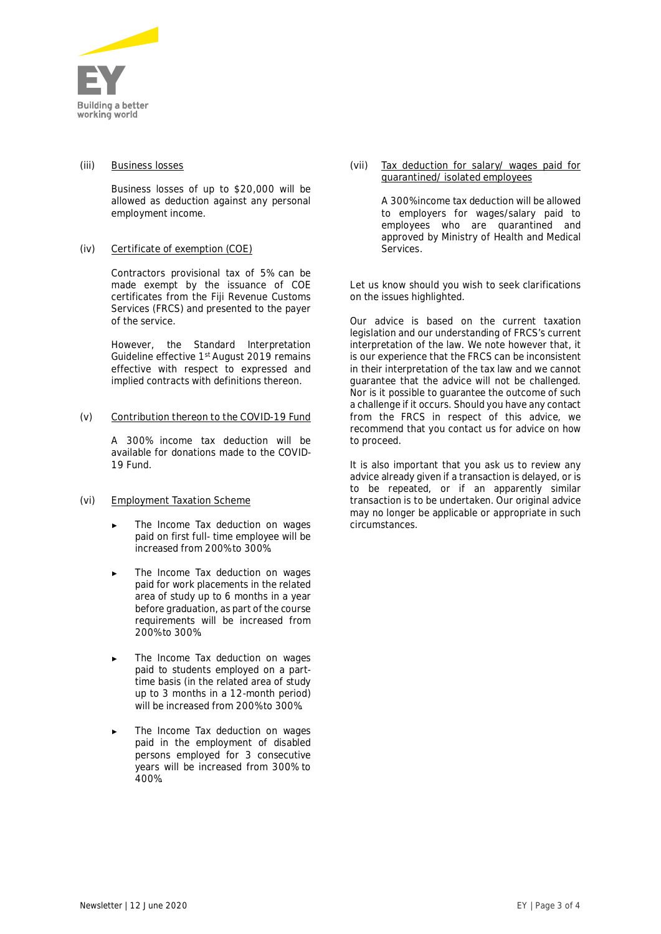

#### **(iii) Business losses**

Business losses of up to \$20,000 will be allowed as deduction against any personal employment income.

# **(iv) Certificate of exemption (COE)**

Contractors provisional tax of 5% can be made exempt by the issuance of COE certificates from the Fiji Revenue Customs Services (FRCS) and presented to the payer of the service.

However, the Standard Interpretation Guideline effective 1<sup>st</sup> August 2019 remains effective with respect to expressed and implied contracts with definitions thereon.

#### **(v) Contribution thereon to the COVID-19 Fund**

A 300% income tax deduction will be available for donations made to the COVID-19 Fund.

# **(vi) Employment Taxation Scheme**

- The Income Tax deduction on wages paid on first full- time employee will be increased from 200% to 300%.
- The Income Tax deduction on wages paid for work placements in the related area of study up to 6 months in a year before graduation, as part of the course requirements will be increased from 200% to 300%.
- The Income Tax deduction on wages paid to students employed on a parttime basis (in the related area of study up to 3 months in a 12-month period) will be increased from 200% to 300%.
- The Income Tax deduction on wages paid in the employment of disabled persons employed for 3 consecutive years will be increased from 300% to 400%.

**(vii) Tax deduction for salary/ wages paid for quarantined/ isolated employees**

> A 300% income tax deduction will be allowed to employers for wages/salary paid to employees who are quarantined and approved by Ministry of Health and Medical Services.

Let us know should you wish to seek clarifications on the issues highlighted.

*Our advice is based on the current taxation legislation and our understanding of FRCS's current interpretation of the law. We note however that, it is our experience that the FRCS can be inconsistent in their interpretation of the tax law and we cannot guarantee that the advice will not be challenged. Nor is it possible to guarantee the outcome of such a challenge if it occurs. Should you have any contact from the FRCS in respect of this advice, we recommend that you contact us for advice on how to proceed.*

*It is also important that you ask us to review any advice already given if a transaction is delayed, or is to be repeated, or if an apparently similar transaction is to be undertaken. Our original advice may no longer be applicable or appropriate in such circumstances.*